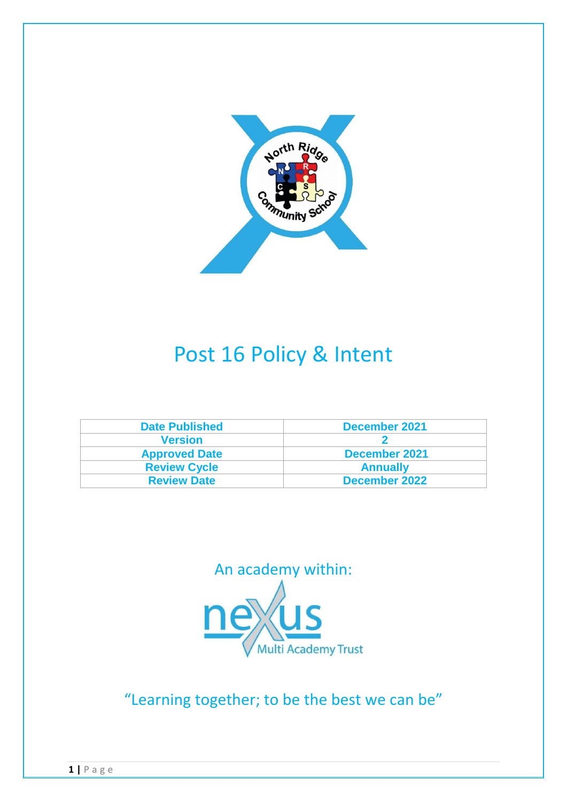

# Post 16 Policy & Intent

| <b>Date Published</b> | December 2021   |
|-----------------------|-----------------|
| <b>Version</b>        |                 |
| <b>Approved Date</b>  | December 2021   |
| <b>Review Cycle</b>   | <b>Annually</b> |
| <b>Review Date</b>    | December 2022   |



"Learning together; to be the best we can be"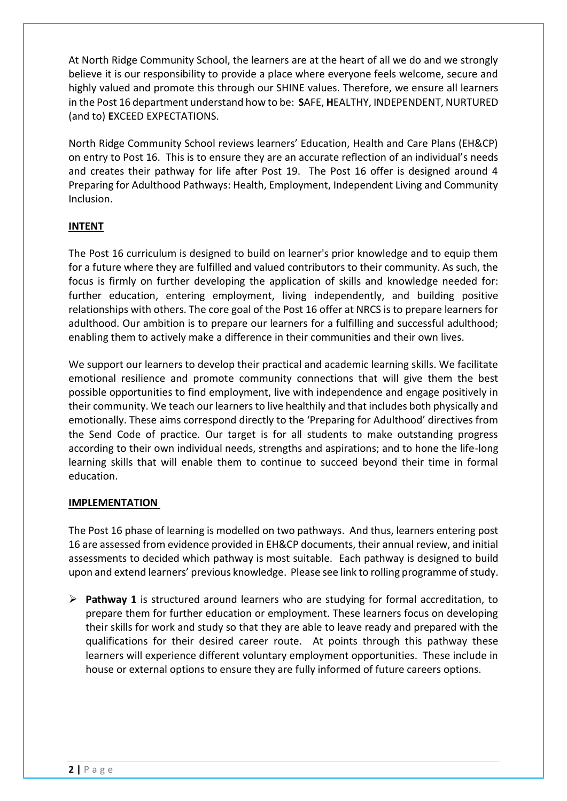At North Ridge Community School, the learners are at the heart of all we do and we strongly believe it is our responsibility to provide a place where everyone feels welcome, secure and highly valued and promote this through our SHINE values. Therefore, we ensure all learners in the Post 16 department understand how to be: **S**AFE, **H**EALTHY, INDEPENDENT, NURTURED (and to) **E**XCEED EXPECTATIONS.

North Ridge Community School reviews learners' Education, Health and Care Plans (EH&CP) on entry to Post 16. This is to ensure they are an accurate reflection of an individual's needs and creates their pathway for life after Post 19. The Post 16 offer is designed around 4 Preparing for Adulthood Pathways: Health, Employment, Independent Living and Community Inclusion.

# **INTENT**

The Post 16 curriculum is designed to build on learner's prior knowledge and to equip them for a future where they are fulfilled and valued contributors to their community. As such, the focus is firmly on further developing the application of skills and knowledge needed for: further education, entering employment, living independently, and building positive relationships with others. The core goal of the Post 16 offer at NRCS is to prepare learners for adulthood. Our ambition is to prepare our learners for a fulfilling and successful adulthood; enabling them to actively make a difference in their communities and their own lives.

We support our learners to develop their practical and academic learning skills. We facilitate emotional resilience and promote community connections that will give them the best possible opportunities to find employment, live with independence and engage positively in their community. We teach our learners to live healthily and that includes both physically and emotionally. These aims correspond directly to the 'Preparing for Adulthood' directives from the Send Code of practice. Our target is for all students to make outstanding progress according to their own individual needs, strengths and aspirations; and to hone the life-long learning skills that will enable them to continue to succeed beyond their time in formal education.

### **IMPLEMENTATION**

The Post 16 phase of learning is modelled on two pathways. And thus, learners entering post 16 are assessed from evidence provided in EH&CP documents, their annual review, and initial assessments to decided which pathway is most suitable. Each pathway is designed to build upon and extend learners' previous knowledge. Please see link to rolling programme of study.

 **Pathway 1** is structured around learners who are studying for formal accreditation, to prepare them for further education or employment. These learners focus on developing their skills for work and study so that they are able to leave ready and prepared with the qualifications for their desired career route. At points through this pathway these learners will experience different voluntary employment opportunities. These include in house or external options to ensure they are fully informed of future careers options.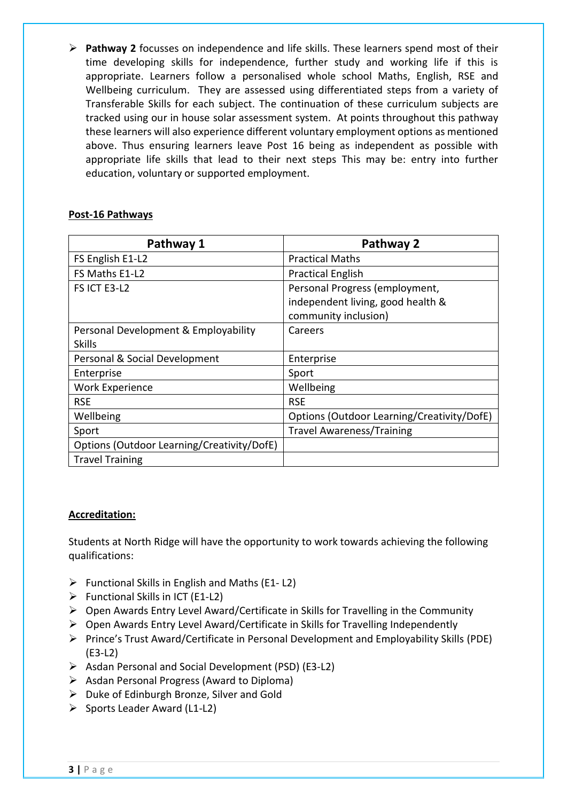**Pathway 2** focusses on independence and life skills. These learners spend most of their time developing skills for independence, further study and working life if this is appropriate. Learners follow a personalised whole school Maths, English, RSE and Wellbeing curriculum. They are assessed using differentiated steps from a variety of Transferable Skills for each subject. The continuation of these curriculum subjects are tracked using our in house solar assessment system. At points throughout this pathway these learners will also experience different voluntary employment options as mentioned above. Thus ensuring learners leave Post 16 being as independent as possible with appropriate life skills that lead to their next steps This may be: entry into further education, voluntary or supported employment.

## **Post-16 Pathways**

| Pathway 1                                  | Pathway 2                                  |
|--------------------------------------------|--------------------------------------------|
| FS English E1-L2                           | <b>Practical Maths</b>                     |
| FS Maths E1-L2                             | <b>Practical English</b>                   |
| FS ICT E3-L2                               | Personal Progress (employment,             |
|                                            | independent living, good health &          |
|                                            | community inclusion)                       |
| Personal Development & Employability       | Careers                                    |
| <b>Skills</b>                              |                                            |
| Personal & Social Development              | Enterprise                                 |
| Enterprise                                 | Sport                                      |
| <b>Work Experience</b>                     | Wellbeing                                  |
| <b>RSE</b>                                 | <b>RSE</b>                                 |
| Wellbeing                                  | Options (Outdoor Learning/Creativity/DofE) |
| Sport                                      | <b>Travel Awareness/Training</b>           |
| Options (Outdoor Learning/Creativity/DofE) |                                            |
| <b>Travel Training</b>                     |                                            |

### **Accreditation:**

Students at North Ridge will have the opportunity to work towards achieving the following qualifications:

- $\triangleright$  Functional Skills in English and Maths (E1-L2)
- $\triangleright$  Functional Skills in ICT (E1-L2)
- $\triangleright$  Open Awards Entry Level Award/Certificate in Skills for Travelling in the Community
- Open Awards Entry Level Award/Certificate in Skills for Travelling Independently
- Prince's Trust Award/Certificate in Personal Development and Employability Skills (PDE) (E3-L2)
- $\triangleright$  Asdan Personal and Social Development (PSD) (E3-L2)
- $\triangleright$  Asdan Personal Progress (Award to Diploma)
- $\triangleright$  Duke of Edinburgh Bronze, Silver and Gold
- $\triangleright$  Sports Leader Award (L1-L2)